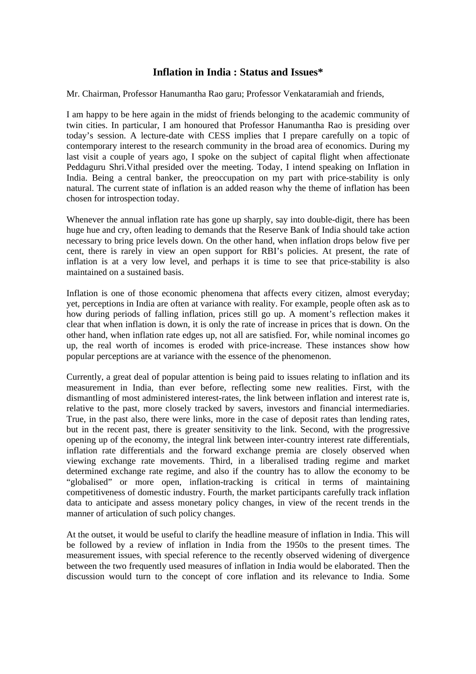# **Inflation in India : Status and Issues\***

Mr. Chairman, Professor Hanumantha Rao garu; Professor Venkataramiah and friends,

I am happy to be here again in the midst of friends belonging to the academic community of twin cities. In particular, I am honoured that Professor Hanumantha Rao is presiding over today's session. A lecture-date with CESS implies that I prepare carefully on a topic of contemporary interest to the research community in the broad area of economics. During my last visit a couple of years ago, I spoke on the subject of capital flight when affectionate Peddaguru Shri.Vithal presided over the meeting. Today, I intend speaking on Inflation in India. Being a central banker, the preoccupation on my part with price-stability is only natural. The current state of inflation is an added reason why the theme of inflation has been chosen for introspection today.

Whenever the annual inflation rate has gone up sharply, say into double-digit, there has been huge hue and cry, often leading to demands that the Reserve Bank of India should take action necessary to bring price levels down. On the other hand, when inflation drops below five per cent, there is rarely in view an open support for RBI's policies. At present, the rate of inflation is at a very low level, and perhaps it is time to see that price-stability is also maintained on a sustained basis.

Inflation is one of those economic phenomena that affects every citizen, almost everyday; yet, perceptions in India are often at variance with reality. For example, people often ask as to how during periods of falling inflation, prices still go up. A moment's reflection makes it clear that when inflation is down, it is only the rate of increase in prices that is down. On the other hand, when inflation rate edges up, not all are satisfied. For, while nominal incomes go up, the real worth of incomes is eroded with price-increase. These instances show how popular perceptions are at variance with the essence of the phenomenon.

Currently, a great deal of popular attention is being paid to issues relating to inflation and its measurement in India, than ever before, reflecting some new realities. First, with the dismantling of most administered interest-rates, the link between inflation and interest rate is, relative to the past, more closely tracked by savers, investors and financial intermediaries. True, in the past also, there were links, more in the case of deposit rates than lending rates, but in the recent past, there is greater sensitivity to the link. Second, with the progressive opening up of the economy, the integral link between inter-country interest rate differentials, inflation rate differentials and the forward exchange premia are closely observed when viewing exchange rate movements. Third, in a liberalised trading regime and market determined exchange rate regime, and also if the country has to allow the economy to be "globalised" or more open, inflation-tracking is critical in terms of maintaining competitiveness of domestic industry. Fourth, the market participants carefully track inflation data to anticipate and assess monetary policy changes, in view of the recent trends in the manner of articulation of such policy changes.

At the outset, it would be useful to clarify the headline measure of inflation in India. This will be followed by a review of inflation in India from the 1950s to the present times. The measurement issues, with special reference to the recently observed widening of divergence between the two frequently used measures of inflation in India would be elaborated. Then the discussion would turn to the concept of core inflation and its relevance to India. Some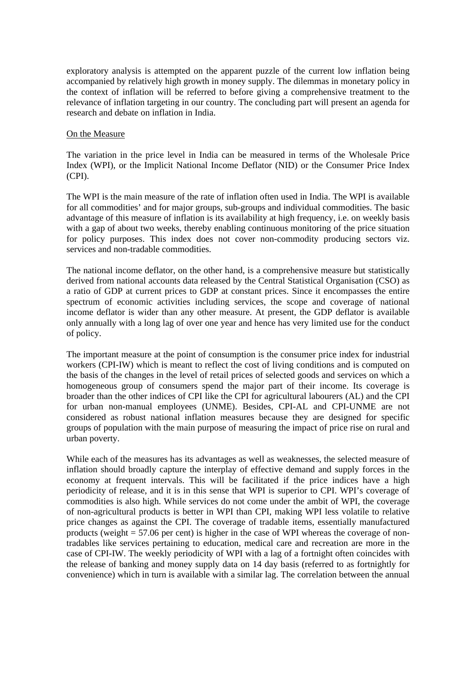exploratory analysis is attempted on the apparent puzzle of the current low inflation being accompanied by relatively high growth in money supply. The dilemmas in monetary policy in the context of inflation will be referred to before giving a comprehensive treatment to the relevance of inflation targeting in our country. The concluding part will present an agenda for research and debate on inflation in India.

# On the Measure

The variation in the price level in India can be measured in terms of the Wholesale Price Index (WPI), or the Implicit National Income Deflator (NID) or the Consumer Price Index (CPI).

The WPI is the main measure of the rate of inflation often used in India. The WPI is available for all commodities' and for major groups, sub-groups and individual commodities. The basic advantage of this measure of inflation is its availability at high frequency, i.e. on weekly basis with a gap of about two weeks, thereby enabling continuous monitoring of the price situation for policy purposes. This index does not cover non-commodity producing sectors viz. services and non-tradable commodities.

The national income deflator, on the other hand, is a comprehensive measure but statistically derived from national accounts data released by the Central Statistical Organisation (CSO) as a ratio of GDP at current prices to GDP at constant prices. Since it encompasses the entire spectrum of economic activities including services, the scope and coverage of national income deflator is wider than any other measure. At present, the GDP deflator is available only annually with a long lag of over one year and hence has very limited use for the conduct of policy.

The important measure at the point of consumption is the consumer price index for industrial workers (CPI-IW) which is meant to reflect the cost of living conditions and is computed on the basis of the changes in the level of retail prices of selected goods and services on which a homogeneous group of consumers spend the major part of their income. Its coverage is broader than the other indices of CPI like the CPI for agricultural labourers (AL) and the CPI for urban non-manual employees (UNME). Besides, CPI-AL and CPI-UNME are not considered as robust national inflation measures because they are designed for specific groups of population with the main purpose of measuring the impact of price rise on rural and urban poverty.

While each of the measures has its advantages as well as weaknesses, the selected measure of inflation should broadly capture the interplay of effective demand and supply forces in the economy at frequent intervals. This will be facilitated if the price indices have a high periodicity of release, and it is in this sense that WPI is superior to CPI. WPI's coverage of commodities is also high. While services do not come under the ambit of WPI, the coverage of non-agricultural products is better in WPI than CPI, making WPI less volatile to relative price changes as against the CPI. The coverage of tradable items, essentially manufactured products (weight  $= 57.06$  per cent) is higher in the case of WPI whereas the coverage of nontradables like services pertaining to education, medical care and recreation are more in the case of CPI-IW. The weekly periodicity of WPI with a lag of a fortnight often coincides with the release of banking and money supply data on 14 day basis (referred to as fortnightly for convenience) which in turn is available with a similar lag. The correlation between the annual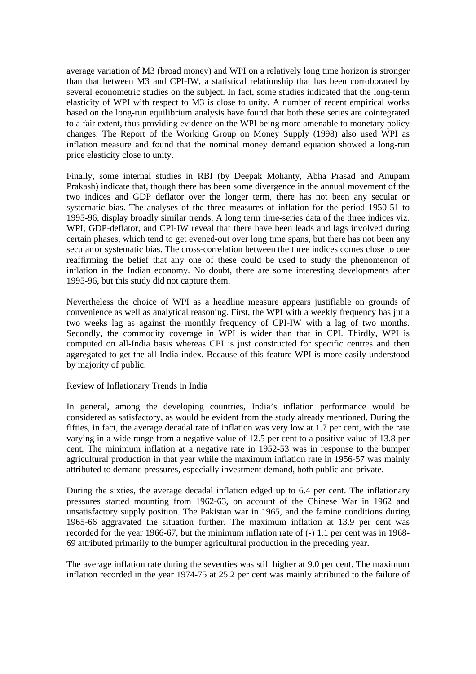average variation of M3 (broad money) and WPI on a relatively long time horizon is stronger than that between M3 and CPI-IW, a statistical relationship that has been corroborated by several econometric studies on the subject. In fact, some studies indicated that the long-term elasticity of WPI with respect to M3 is close to unity. A number of recent empirical works based on the long-run equilibrium analysis have found that both these series are cointegrated to a fair extent, thus providing evidence on the WPI being more amenable to monetary policy changes. The Report of the Working Group on Money Supply (1998) also used WPI as inflation measure and found that the nominal money demand equation showed a long-run price elasticity close to unity.

Finally, some internal studies in RBI (by Deepak Mohanty, Abha Prasad and Anupam Prakash) indicate that, though there has been some divergence in the annual movement of the two indices and GDP deflator over the longer term, there has not been any secular or systematic bias. The analyses of the three measures of inflation for the period 1950-51 to 1995-96, display broadly similar trends. A long term time-series data of the three indices viz. WPI, GDP-deflator, and CPI-IW reveal that there have been leads and lags involved during certain phases, which tend to get evened-out over long time spans, but there has not been any secular or systematic bias. The cross-correlation between the three indices comes close to one reaffirming the belief that any one of these could be used to study the phenomenon of inflation in the Indian economy. No doubt, there are some interesting developments after 1995-96, but this study did not capture them.

Nevertheless the choice of WPI as a headline measure appears justifiable on grounds of convenience as well as analytical reasoning. First, the WPI with a weekly frequency has jut a two weeks lag as against the monthly frequency of CPI-IW with a lag of two months. Secondly, the commodity coverage in WPI is wider than that in CPI. Thirdly, WPI is computed on all-India basis whereas CPI is just constructed for specific centres and then aggregated to get the all-India index. Because of this feature WPI is more easily understood by majority of public.

## Review of Inflationary Trends in India

In general, among the developing countries, India's inflation performance would be considered as satisfactory, as would be evident from the study already mentioned. During the fifties, in fact, the average decadal rate of inflation was very low at 1.7 per cent, with the rate varying in a wide range from a negative value of 12.5 per cent to a positive value of 13.8 per cent. The minimum inflation at a negative rate in 1952-53 was in response to the bumper agricultural production in that year while the maximum inflation rate in 1956-57 was mainly attributed to demand pressures, especially investment demand, both public and private.

During the sixties, the average decadal inflation edged up to 6.4 per cent. The inflationary pressures started mounting from 1962-63, on account of the Chinese War in 1962 and unsatisfactory supply position. The Pakistan war in 1965, and the famine conditions during 1965-66 aggravated the situation further. The maximum inflation at 13.9 per cent was recorded for the year 1966-67, but the minimum inflation rate of (-) 1.1 per cent was in 1968- 69 attributed primarily to the bumper agricultural production in the preceding year.

The average inflation rate during the seventies was still higher at 9.0 per cent. The maximum inflation recorded in the year 1974-75 at 25.2 per cent was mainly attributed to the failure of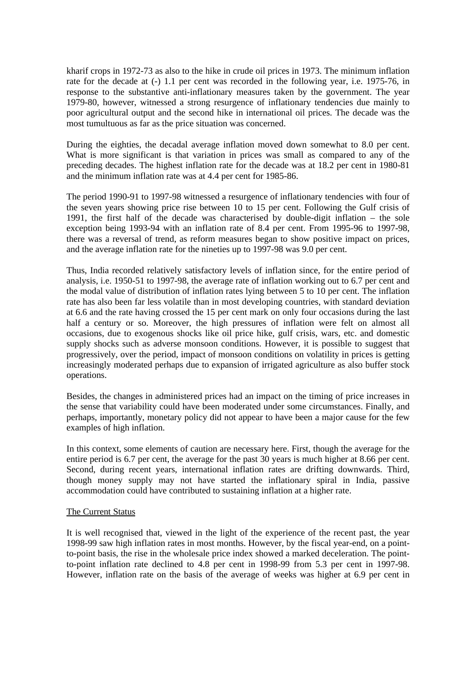kharif crops in 1972-73 as also to the hike in crude oil prices in 1973. The minimum inflation rate for the decade at (-) 1.1 per cent was recorded in the following year, i.e. 1975-76, in response to the substantive anti-inflationary measures taken by the government. The year 1979-80, however, witnessed a strong resurgence of inflationary tendencies due mainly to poor agricultural output and the second hike in international oil prices. The decade was the most tumultuous as far as the price situation was concerned.

During the eighties, the decadal average inflation moved down somewhat to 8.0 per cent. What is more significant is that variation in prices was small as compared to any of the preceding decades. The highest inflation rate for the decade was at 18.2 per cent in 1980-81 and the minimum inflation rate was at 4.4 per cent for 1985-86.

The period 1990-91 to 1997-98 witnessed a resurgence of inflationary tendencies with four of the seven years showing price rise between 10 to 15 per cent. Following the Gulf crisis of 1991, the first half of the decade was characterised by double-digit inflation – the sole exception being 1993-94 with an inflation rate of 8.4 per cent. From 1995-96 to 1997-98, there was a reversal of trend, as reform measures began to show positive impact on prices, and the average inflation rate for the nineties up to 1997-98 was 9.0 per cent.

Thus, India recorded relatively satisfactory levels of inflation since, for the entire period of analysis, i.e. 1950-51 to 1997-98, the average rate of inflation working out to 6.7 per cent and the modal value of distribution of inflation rates lying between 5 to 10 per cent. The inflation rate has also been far less volatile than in most developing countries, with standard deviation at 6.6 and the rate having crossed the 15 per cent mark on only four occasions during the last half a century or so. Moreover, the high pressures of inflation were felt on almost all occasions, due to exogenous shocks like oil price hike, gulf crisis, wars, etc. and domestic supply shocks such as adverse monsoon conditions. However, it is possible to suggest that progressively, over the period, impact of monsoon conditions on volatility in prices is getting increasingly moderated perhaps due to expansion of irrigated agriculture as also buffer stock operations.

Besides, the changes in administered prices had an impact on the timing of price increases in the sense that variability could have been moderated under some circumstances. Finally, and perhaps, importantly, monetary policy did not appear to have been a major cause for the few examples of high inflation.

In this context, some elements of caution are necessary here. First, though the average for the entire period is 6.7 per cent, the average for the past 30 years is much higher at 8.66 per cent. Second, during recent years, international inflation rates are drifting downwards. Third, though money supply may not have started the inflationary spiral in India, passive accommodation could have contributed to sustaining inflation at a higher rate.

## The Current Status

It is well recognised that, viewed in the light of the experience of the recent past, the year 1998-99 saw high inflation rates in most months. However, by the fiscal year-end, on a pointto-point basis, the rise in the wholesale price index showed a marked deceleration. The pointto-point inflation rate declined to 4.8 per cent in 1998-99 from 5.3 per cent in 1997-98. However, inflation rate on the basis of the average of weeks was higher at 6.9 per cent in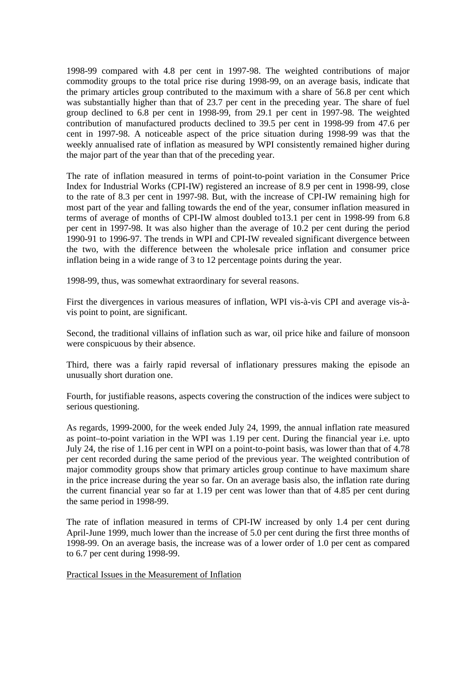1998-99 compared with 4.8 per cent in 1997-98. The weighted contributions of major commodity groups to the total price rise during 1998-99, on an average basis, indicate that the primary articles group contributed to the maximum with a share of 56.8 per cent which was substantially higher than that of 23.7 per cent in the preceding year. The share of fuel group declined to 6.8 per cent in 1998-99, from 29.1 per cent in 1997-98. The weighted contribution of manufactured products declined to 39.5 per cent in 1998-99 from 47.6 per cent in 1997-98. A noticeable aspect of the price situation during 1998-99 was that the weekly annualised rate of inflation as measured by WPI consistently remained higher during the major part of the year than that of the preceding year.

The rate of inflation measured in terms of point-to-point variation in the Consumer Price Index for Industrial Works (CPI-IW) registered an increase of 8.9 per cent in 1998-99, close to the rate of 8.3 per cent in 1997-98. But, with the increase of CPI-IW remaining high for most part of the year and falling towards the end of the year, consumer inflation measured in terms of average of months of CPI-IW almost doubled to13.1 per cent in 1998-99 from 6.8 per cent in 1997-98. It was also higher than the average of 10.2 per cent during the period 1990-91 to 1996-97. The trends in WPI and CPI-IW revealed significant divergence between the two, with the difference between the wholesale price inflation and consumer price inflation being in a wide range of 3 to 12 percentage points during the year.

1998-99, thus, was somewhat extraordinary for several reasons.

First the divergences in various measures of inflation, WPI vis-à-vis CPI and average vis-àvis point to point, are significant.

Second, the traditional villains of inflation such as war, oil price hike and failure of monsoon were conspicuous by their absence.

Third, there was a fairly rapid reversal of inflationary pressures making the episode an unusually short duration one.

Fourth, for justifiable reasons, aspects covering the construction of the indices were subject to serious questioning.

As regards, 1999-2000, for the week ended July 24, 1999, the annual inflation rate measured as point–to-point variation in the WPI was 1.19 per cent. During the financial year i.e. upto July 24, the rise of 1.16 per cent in WPI on a point-to-point basis, was lower than that of 4.78 per cent recorded during the same period of the previous year. The weighted contribution of major commodity groups show that primary articles group continue to have maximum share in the price increase during the year so far. On an average basis also, the inflation rate during the current financial year so far at 1.19 per cent was lower than that of 4.85 per cent during the same period in 1998-99.

The rate of inflation measured in terms of CPI-IW increased by only 1.4 per cent during April-June 1999, much lower than the increase of 5.0 per cent during the first three months of 1998-99. On an average basis, the increase was of a lower order of 1.0 per cent as compared to 6.7 per cent during 1998-99.

Practical Issues in the Measurement of Inflation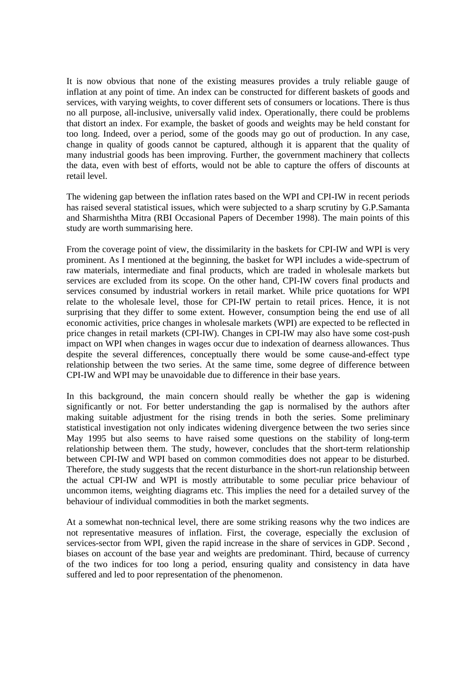It is now obvious that none of the existing measures provides a truly reliable gauge of inflation at any point of time. An index can be constructed for different baskets of goods and services, with varying weights, to cover different sets of consumers or locations. There is thus no all purpose, all-inclusive, universally valid index. Operationally, there could be problems that distort an index. For example, the basket of goods and weights may be held constant for too long. Indeed, over a period, some of the goods may go out of production. In any case, change in quality of goods cannot be captured, although it is apparent that the quality of many industrial goods has been improving. Further, the government machinery that collects the data, even with best of efforts, would not be able to capture the offers of discounts at retail level.

The widening gap between the inflation rates based on the WPI and CPI-IW in recent periods has raised several statistical issues, which were subjected to a sharp scrutiny by G.P.Samanta and Sharmishtha Mitra (RBI Occasional Papers of December 1998). The main points of this study are worth summarising here.

From the coverage point of view, the dissimilarity in the baskets for CPI-IW and WPI is very prominent. As I mentioned at the beginning, the basket for WPI includes a wide-spectrum of raw materials, intermediate and final products, which are traded in wholesale markets but services are excluded from its scope. On the other hand, CPI-IW covers final products and services consumed by industrial workers in retail market. While price quotations for WPI relate to the wholesale level, those for CPI-IW pertain to retail prices. Hence, it is not surprising that they differ to some extent. However, consumption being the end use of all economic activities, price changes in wholesale markets (WPI) are expected to be reflected in price changes in retail markets (CPI-IW). Changes in CPI-IW may also have some cost-push impact on WPI when changes in wages occur due to indexation of dearness allowances. Thus despite the several differences, conceptually there would be some cause-and-effect type relationship between the two series. At the same time, some degree of difference between CPI-IW and WPI may be unavoidable due to difference in their base years.

In this background, the main concern should really be whether the gap is widening significantly or not. For better understanding the gap is normalised by the authors after making suitable adjustment for the rising trends in both the series. Some preliminary statistical investigation not only indicates widening divergence between the two series since May 1995 but also seems to have raised some questions on the stability of long-term relationship between them. The study, however, concludes that the short-term relationship between CPI-IW and WPI based on common commodities does not appear to be disturbed. Therefore, the study suggests that the recent disturbance in the short-run relationship between the actual CPI-IW and WPI is mostly attributable to some peculiar price behaviour of uncommon items, weighting diagrams etc. This implies the need for a detailed survey of the behaviour of individual commodities in both the market segments.

At a somewhat non-technical level, there are some striking reasons why the two indices are not representative measures of inflation. First, the coverage, especially the exclusion of services-sector from WPI, given the rapid increase in the share of services in GDP. Second , biases on account of the base year and weights are predominant. Third, because of currency of the two indices for too long a period, ensuring quality and consistency in data have suffered and led to poor representation of the phenomenon.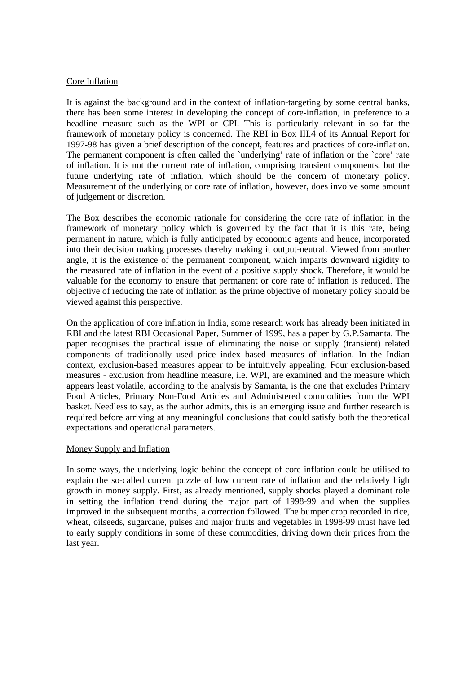# Core Inflation

It is against the background and in the context of inflation-targeting by some central banks, there has been some interest in developing the concept of core-inflation, in preference to a headline measure such as the WPI or CPI. This is particularly relevant in so far the framework of monetary policy is concerned. The RBI in Box III.4 of its Annual Report for 1997-98 has given a brief description of the concept, features and practices of core-inflation. The permanent component is often called the 'underlying' rate of inflation or the 'core' rate of inflation. It is not the current rate of inflation, comprising transient components, but the future underlying rate of inflation, which should be the concern of monetary policy. Measurement of the underlying or core rate of inflation, however, does involve some amount of judgement or discretion.

The Box describes the economic rationale for considering the core rate of inflation in the framework of monetary policy which is governed by the fact that it is this rate, being permanent in nature, which is fully anticipated by economic agents and hence, incorporated into their decision making processes thereby making it output-neutral. Viewed from another angle, it is the existence of the permanent component, which imparts downward rigidity to the measured rate of inflation in the event of a positive supply shock. Therefore, it would be valuable for the economy to ensure that permanent or core rate of inflation is reduced. The objective of reducing the rate of inflation as the prime objective of monetary policy should be viewed against this perspective.

On the application of core inflation in India, some research work has already been initiated in RBI and the latest RBI Occasional Paper, Summer of 1999, has a paper by G.P.Samanta. The paper recognises the practical issue of eliminating the noise or supply (transient) related components of traditionally used price index based measures of inflation. In the Indian context, exclusion-based measures appear to be intuitively appealing. Four exclusion-based measures - exclusion from headline measure, i.e. WPI, are examined and the measure which appears least volatile, according to the analysis by Samanta, is the one that excludes Primary Food Articles, Primary Non-Food Articles and Administered commodities from the WPI basket. Needless to say, as the author admits, this is an emerging issue and further research is required before arriving at any meaningful conclusions that could satisfy both the theoretical expectations and operational parameters.

## Money Supply and Inflation

In some ways, the underlying logic behind the concept of core-inflation could be utilised to explain the so-called current puzzle of low current rate of inflation and the relatively high growth in money supply. First, as already mentioned, supply shocks played a dominant role in setting the inflation trend during the major part of 1998-99 and when the supplies improved in the subsequent months, a correction followed. The bumper crop recorded in rice, wheat, oilseeds, sugarcane, pulses and major fruits and vegetables in 1998-99 must have led to early supply conditions in some of these commodities, driving down their prices from the last year.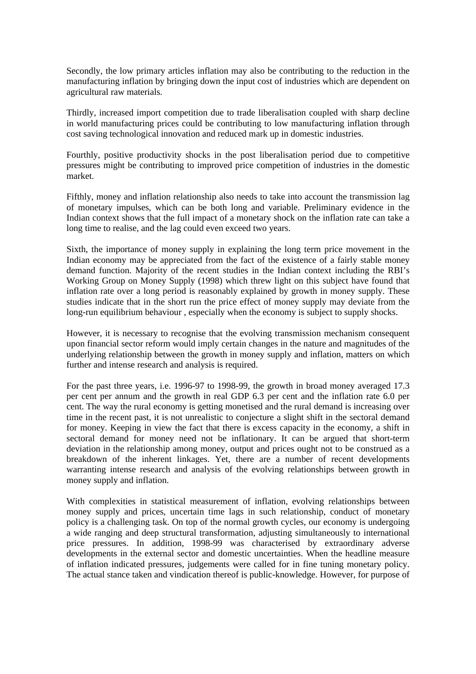Secondly, the low primary articles inflation may also be contributing to the reduction in the manufacturing inflation by bringing down the input cost of industries which are dependent on agricultural raw materials.

Thirdly, increased import competition due to trade liberalisation coupled with sharp decline in world manufacturing prices could be contributing to low manufacturing inflation through cost saving technological innovation and reduced mark up in domestic industries.

Fourthly, positive productivity shocks in the post liberalisation period due to competitive pressures might be contributing to improved price competition of industries in the domestic market.

Fifthly, money and inflation relationship also needs to take into account the transmission lag of monetary impulses, which can be both long and variable. Preliminary evidence in the Indian context shows that the full impact of a monetary shock on the inflation rate can take a long time to realise, and the lag could even exceed two years.

Sixth, the importance of money supply in explaining the long term price movement in the Indian economy may be appreciated from the fact of the existence of a fairly stable money demand function. Majority of the recent studies in the Indian context including the RBI's Working Group on Money Supply (1998) which threw light on this subject have found that inflation rate over a long period is reasonably explained by growth in money supply. These studies indicate that in the short run the price effect of money supply may deviate from the long-run equilibrium behaviour , especially when the economy is subject to supply shocks.

However, it is necessary to recognise that the evolving transmission mechanism consequent upon financial sector reform would imply certain changes in the nature and magnitudes of the underlying relationship between the growth in money supply and inflation, matters on which further and intense research and analysis is required.

For the past three years, i.e. 1996-97 to 1998-99, the growth in broad money averaged 17.3 per cent per annum and the growth in real GDP 6.3 per cent and the inflation rate 6.0 per cent. The way the rural economy is getting monetised and the rural demand is increasing over time in the recent past, it is not unrealistic to conjecture a slight shift in the sectoral demand for money. Keeping in view the fact that there is excess capacity in the economy, a shift in sectoral demand for money need not be inflationary. It can be argued that short-term deviation in the relationship among money, output and prices ought not to be construed as a breakdown of the inherent linkages. Yet, there are a number of recent developments warranting intense research and analysis of the evolving relationships between growth in money supply and inflation.

With complexities in statistical measurement of inflation, evolving relationships between money supply and prices, uncertain time lags in such relationship, conduct of monetary policy is a challenging task. On top of the normal growth cycles, our economy is undergoing a wide ranging and deep structural transformation, adjusting simultaneously to international price pressures. In addition, 1998-99 was characterised by extraordinary adverse developments in the external sector and domestic uncertainties. When the headline measure of inflation indicated pressures, judgements were called for in fine tuning monetary policy. The actual stance taken and vindication thereof is public-knowledge. However, for purpose of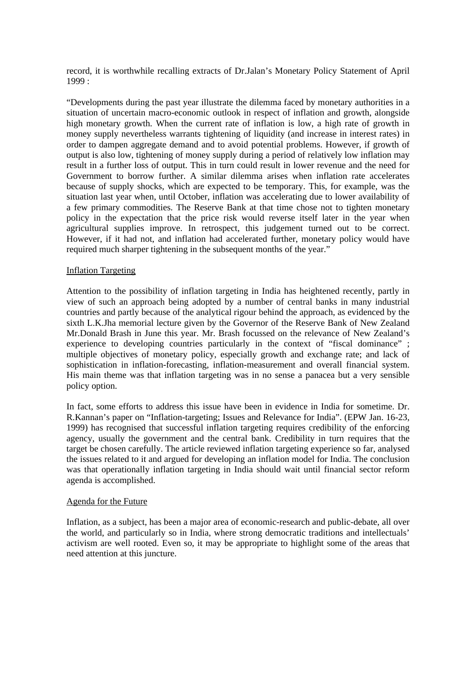record, it is worthwhile recalling extracts of Dr.Jalan's Monetary Policy Statement of April 1999 :

"Developments during the past year illustrate the dilemma faced by monetary authorities in a situation of uncertain macro-economic outlook in respect of inflation and growth, alongside high monetary growth. When the current rate of inflation is low, a high rate of growth in money supply nevertheless warrants tightening of liquidity (and increase in interest rates) in order to dampen aggregate demand and to avoid potential problems. However, if growth of output is also low, tightening of money supply during a period of relatively low inflation may result in a further loss of output. This in turn could result in lower revenue and the need for Government to borrow further. A similar dilemma arises when inflation rate accelerates because of supply shocks, which are expected to be temporary. This, for example, was the situation last year when, until October, inflation was accelerating due to lower availability of a few primary commodities. The Reserve Bank at that time chose not to tighten monetary policy in the expectation that the price risk would reverse itself later in the year when agricultural supplies improve. In retrospect, this judgement turned out to be correct. However, if it had not, and inflation had accelerated further, monetary policy would have required much sharper tightening in the subsequent months of the year."

#### Inflation Targeting

Attention to the possibility of inflation targeting in India has heightened recently, partly in view of such an approach being adopted by a number of central banks in many industrial countries and partly because of the analytical rigour behind the approach, as evidenced by the sixth L.K.Jha memorial lecture given by the Governor of the Reserve Bank of New Zealand Mr.Donald Brash in June this year. Mr. Brash focussed on the relevance of New Zealand's experience to developing countries particularly in the context of "fiscal dominance" ; multiple objectives of monetary policy, especially growth and exchange rate; and lack of sophistication in inflation-forecasting, inflation-measurement and overall financial system. His main theme was that inflation targeting was in no sense a panacea but a very sensible policy option.

In fact, some efforts to address this issue have been in evidence in India for sometime. Dr. R.Kannan's paper on "Inflation-targeting; Issues and Relevance for India". (EPW Jan. 16-23, 1999) has recognised that successful inflation targeting requires credibility of the enforcing agency, usually the government and the central bank. Credibility in turn requires that the target be chosen carefully. The article reviewed inflation targeting experience so far, analysed the issues related to it and argued for developing an inflation model for India. The conclusion was that operationally inflation targeting in India should wait until financial sector reform agenda is accomplished.

#### Agenda for the Future

Inflation, as a subject, has been a major area of economic-research and public-debate, all over the world, and particularly so in India, where strong democratic traditions and intellectuals' activism are well rooted. Even so, it may be appropriate to highlight some of the areas that need attention at this juncture.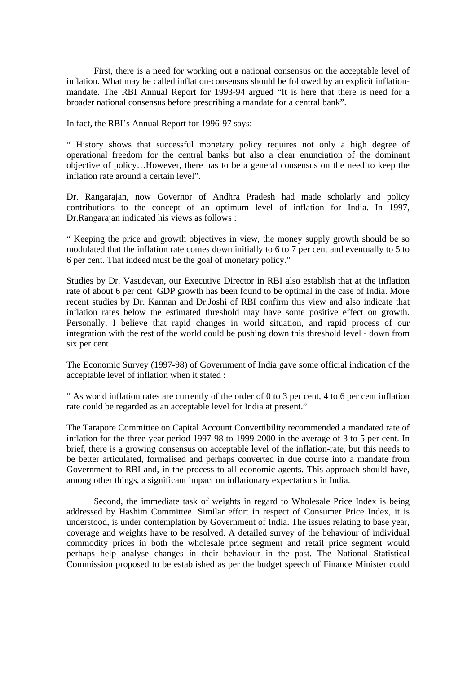First, there is a need for working out a national consensus on the acceptable level of inflation. What may be called inflation-consensus should be followed by an explicit inflationmandate. The RBI Annual Report for 1993-94 argued "It is here that there is need for a broader national consensus before prescribing a mandate for a central bank".

In fact, the RBI's Annual Report for 1996-97 says:

" History shows that successful monetary policy requires not only a high degree of operational freedom for the central banks but also a clear enunciation of the dominant objective of policy…However, there has to be a general consensus on the need to keep the inflation rate around a certain level".

Dr. Rangarajan, now Governor of Andhra Pradesh had made scholarly and policy contributions to the concept of an optimum level of inflation for India. In 1997, Dr.Rangarajan indicated his views as follows :

" Keeping the price and growth objectives in view, the money supply growth should be so modulated that the inflation rate comes down initially to 6 to 7 per cent and eventually to 5 to 6 per cent. That indeed must be the goal of monetary policy."

Studies by Dr. Vasudevan, our Executive Director in RBI also establish that at the inflation rate of about 6 per cent GDP growth has been found to be optimal in the case of India. More recent studies by Dr. Kannan and Dr.Joshi of RBI confirm this view and also indicate that inflation rates below the estimated threshold may have some positive effect on growth. Personally, I believe that rapid changes in world situation, and rapid process of our integration with the rest of the world could be pushing down this threshold level - down from six per cent.

The Economic Survey (1997-98) of Government of India gave some official indication of the acceptable level of inflation when it stated :

" As world inflation rates are currently of the order of 0 to 3 per cent, 4 to 6 per cent inflation rate could be regarded as an acceptable level for India at present."

The Tarapore Committee on Capital Account Convertibility recommended a mandated rate of inflation for the three-year period 1997-98 to 1999-2000 in the average of 3 to 5 per cent. In brief, there is a growing consensus on acceptable level of the inflation-rate, but this needs to be better articulated, formalised and perhaps converted in due course into a mandate from Government to RBI and, in the process to all economic agents. This approach should have, among other things, a significant impact on inflationary expectations in India.

Second, the immediate task of weights in regard to Wholesale Price Index is being addressed by Hashim Committee. Similar effort in respect of Consumer Price Index, it is understood, is under contemplation by Government of India. The issues relating to base year, coverage and weights have to be resolved. A detailed survey of the behaviour of individual commodity prices in both the wholesale price segment and retail price segment would perhaps help analyse changes in their behaviour in the past. The National Statistical Commission proposed to be established as per the budget speech of Finance Minister could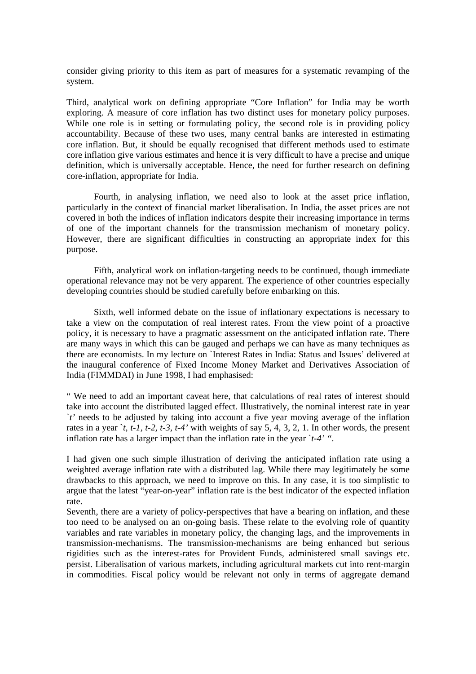consider giving priority to this item as part of measures for a systematic revamping of the system.

Third, analytical work on defining appropriate "Core Inflation" for India may be worth exploring. A measure of core inflation has two distinct uses for monetary policy purposes. While one role is in setting or formulating policy, the second role is in providing policy accountability. Because of these two uses, many central banks are interested in estimating core inflation. But, it should be equally recognised that different methods used to estimate core inflation give various estimates and hence it is very difficult to have a precise and unique definition, which is universally acceptable. Hence, the need for further research on defining core-inflation, appropriate for India.

Fourth, in analysing inflation, we need also to look at the asset price inflation, particularly in the context of financial market liberalisation. In India, the asset prices are not covered in both the indices of inflation indicators despite their increasing importance in terms of one of the important channels for the transmission mechanism of monetary policy. However, there are significant difficulties in constructing an appropriate index for this purpose.

Fifth, analytical work on inflation-targeting needs to be continued, though immediate operational relevance may not be very apparent. The experience of other countries especially developing countries should be studied carefully before embarking on this.

Sixth, well informed debate on the issue of inflationary expectations is necessary to take a view on the computation of real interest rates. From the view point of a proactive policy, it is necessary to have a pragmatic assessment on the anticipated inflation rate. There are many ways in which this can be gauged and perhaps we can have as many techniques as there are economists. In my lecture on `Interest Rates in India: Status and Issues' delivered at the inaugural conference of Fixed Income Money Market and Derivatives Association of India (FIMMDAI) in June 1998, I had emphasised:

" We need to add an important caveat here, that calculations of real rates of interest should take into account the distributed lagged effect. Illustratively, the nominal interest rate in year `*t'* needs to be adjusted by taking into account a five year moving average of the inflation rates in a year  $\dot{t}$ , t-1, t-2, t-3, t-4' with weights of say 5, 4, 3, 2, 1. In other words, the present inflation rate has a larger impact than the inflation rate in the year `*t-4' ".*

I had given one such simple illustration of deriving the anticipated inflation rate using a weighted average inflation rate with a distributed lag. While there may legitimately be some drawbacks to this approach, we need to improve on this. In any case, it is too simplistic to argue that the latest "year-on-year" inflation rate is the best indicator of the expected inflation rate.

Seventh, there are a variety of policy-perspectives that have a bearing on inflation, and these too need to be analysed on an on-going basis. These relate to the evolving role of quantity variables and rate variables in monetary policy, the changing lags, and the improvements in transmission-mechanisms. The transmission-mechanisms are being enhanced but serious rigidities such as the interest-rates for Provident Funds, administered small savings etc. persist. Liberalisation of various markets, including agricultural markets cut into rent-margin in commodities. Fiscal policy would be relevant not only in terms of aggregate demand